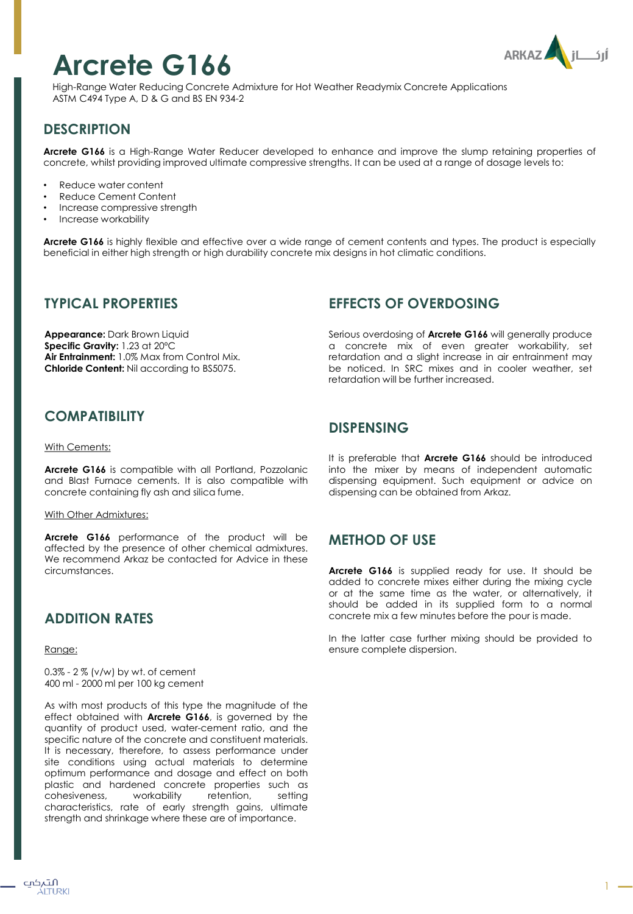# **Arcrete G166**



High-Range Water Reducing Concrete Admixture for Hot Weather Readymix Concrete Applications ASTM C494 Type A, D & G and BS EN 934-2

# **DESCRIPTION**

**Arcrete G166** is a High-Range Water Reducer developed to enhance and improve the slump retaining properties of concrete, whilst providing improved ultimate compressive strengths. It can be used at a range of dosage levels to:

- Reduce water content
- Reduce Cement Content
- Increase compressive strength
- Increase workability

**Arcrete G166** is highly flexible and effective over a wide range of cement contents and types. The product is especially beneficial in either high strength or high durability concrete mix designs in hot climatic conditions.

#### **TYPICAL PROPERTIES**

**Appearance:** Dark Brown Liquid **Specific Gravity:** 1.23 at 20ºC **Air Entrainment:** 1.0% Max from Control Mix. **Chloride Content:** Nil according to BS5075.

## **COMPATIBILITY**

#### With Cements:

**Arcrete G166** is compatible with all Portland, Pozzolanic and Blast Furnace cements. It is also compatible with concrete containing fly ash and silica fume.

#### With Other Admixtures:

**Arcrete G166** performance of the product will be affected by the presence of other chemical admixtures. We recommend Arkaz be contacted for Advice in these circumstances.

## **ADDITION RATES**

Range:

0.3% - 2 % (v/w) by wt. of cement 400 ml - 2000 ml per 100 kg cement

As with most products of this type the magnitude of the effect obtained with **Arcrete G166**, is governed by the quantity of product used, water-cement ratio, and the specific nature of the concrete and constituent materials. It is necessary, therefore, to assess performance under site conditions using actual materials to determine optimum performance and dosage and effect on both plastic and hardened concrete properties such as cohesiveness, workability retention, setting characteristics, rate of early strength gains, ultimate strength and shrinkage where these are of importance.

## **EFFECTS OF OVERDOSING**

Serious overdosing of **Arcrete G166** will generally produce a concrete mix of even greater workability, set retardation and a slight increase in air entrainment may be noticed. In SRC mixes and in cooler weather, set retardation will be further increased.

#### **DISPENSING**

It is preferable that **Arcrete G166** should be introduced into the mixer by means of independent automatic dispensing equipment. Such equipment or advice on dispensing can be obtained from Arkaz.

## **METHOD OF USE**

**Arcrete G166** is supplied ready for use. It should be added to concrete mixes either during the mixing cycle or at the same time as the water, or alternatively, it should be added in its supplied form to a normal concrete mix a few minutes before the pour is made.

In the latter case further mixing should be provided to ensure complete dispersion.

1